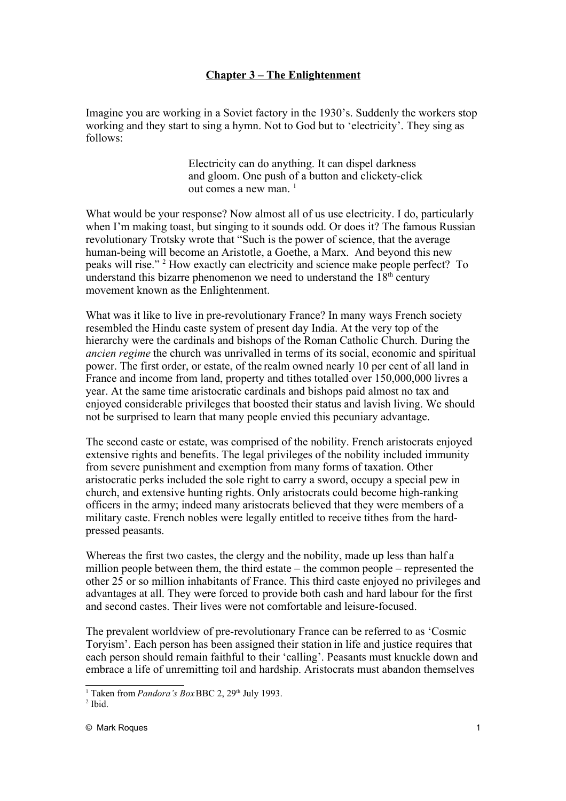## **Chapter 3 – The Enlightenment**

Imagine you are working in a Soviet factory in the 1930's. Suddenly the workers stop working and they start to sing a hymn. Not to God but to 'electricity'. They sing as follows:

> Electricity can do anything. It can dispel darkness and gloom. One push of a button and clickety-click out comes a new man.  $1$

What would be your response? Now almost all of us use electricity. I do, particularly when I'm making toast, but singing to it sounds odd. Or does it? The famous Russian revolutionary Trotsky wrote that "Such is the power of science, that the average human-being will become an Aristotle, a Goethe, a Marx. And beyond this new peaks will rise."<sup>[2](#page-0-1)</sup> How exactly can electricity and science make people perfect? To understand this bizarre phenomenon we need to understand the  $18<sup>th</sup>$  century movement known as the Enlightenment.

What was it like to live in pre-revolutionary France? In many ways French society resembled the Hindu caste system of present day India. At the very top of the hierarchy were the cardinals and bishops of the Roman Catholic Church. During the *ancien regime* the church was unrivalled in terms of its social, economic and spiritual power. The first order, or estate, of the realm owned nearly 10 per cent of all land in France and income from land, property and tithes totalled over 150,000,000 livres a year. At the same time aristocratic cardinals and bishops paid almost no tax and enjoyed considerable privileges that boosted their status and lavish living. We should not be surprised to learn that many people envied this pecuniary advantage.

The second caste or estate, was comprised of the nobility. French aristocrats enjoyed extensive rights and benefits. The legal privileges of the nobility included immunity from severe punishment and exemption from many forms of taxation. Other aristocratic perks included the sole right to carry a sword, occupy a special pew in church, and extensive hunting rights. Only aristocrats could become high-ranking officers in the army; indeed many aristocrats believed that they were members of a military caste. French nobles were legally entitled to receive tithes from the hardpressed peasants.

Whereas the first two castes, the clergy and the nobility, made up less than half a million people between them, the third estate – the common people – represented the other 25 or so million inhabitants of France. This third caste enjoyed no privileges and advantages at all. They were forced to provide both cash and hard labour for the first and second castes. Their lives were not comfortable and leisure-focused.

The prevalent worldview of pre-revolutionary France can be referred to as 'Cosmic Toryism'. Each person has been assigned their station in life and justice requires that each person should remain faithful to their 'calling'. Peasants must knuckle down and embrace a life of unremitting toil and hardship. Aristocrats must abandon themselves

<span id="page-0-0"></span><sup>&</sup>lt;sup>1</sup> Taken from *Pandora's Box* BBC 2, 29<sup>th</sup> July 1993.

<span id="page-0-1"></span> $<sup>2</sup>$  Ibid.</sup>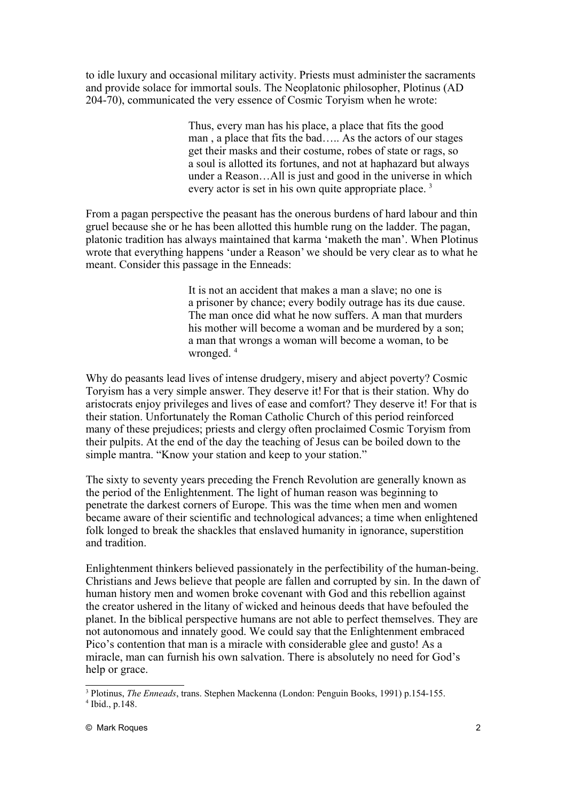to idle luxury and occasional military activity. Priests must administer the sacraments and provide solace for immortal souls. The Neoplatonic philosopher, Plotinus (AD 204-70), communicated the very essence of Cosmic Toryism when he wrote:

> Thus, every man has his place, a place that fits the good man , a place that fits the bad….. As the actors of our stages get their masks and their costume, robes of state or rags, so a soul is allotted its fortunes, and not at haphazard but always under a Reason…All is just and good in the universe in which every actor is set in his own quite appropriate place.<sup>[3](#page-1-0)</sup>

From a pagan perspective the peasant has the onerous burdens of hard labour and thin gruel because she or he has been allotted this humble rung on the ladder. The pagan, platonic tradition has always maintained that karma 'maketh the man'. When Plotinus wrote that everything happens 'under a Reason' we should be very clear as to what he meant. Consider this passage in the Enneads:

> It is not an accident that makes a man a slave; no one is a prisoner by chance; every bodily outrage has its due cause. The man once did what he now suffers. A man that murders his mother will become a woman and be murdered by a son; a man that wrongs a woman will become a woman, to be wronged.<sup>[4](#page-1-1)</sup>

Why do peasants lead lives of intense drudgery, misery and abject poverty? Cosmic Toryism has a very simple answer. They deserve it! For that is their station. Why do aristocrats enjoy privileges and lives of ease and comfort? They deserve it! For that is their station. Unfortunately the Roman Catholic Church of this period reinforced many of these prejudices; priests and clergy often proclaimed Cosmic Toryism from their pulpits. At the end of the day the teaching of Jesus can be boiled down to the simple mantra. "Know your station and keep to your station."

The sixty to seventy years preceding the French Revolution are generally known as the period of the Enlightenment. The light of human reason was beginning to penetrate the darkest corners of Europe. This was the time when men and women became aware of their scientific and technological advances; a time when enlightened folk longed to break the shackles that enslaved humanity in ignorance, superstition and tradition.

Enlightenment thinkers believed passionately in the perfectibility of the human-being. Christians and Jews believe that people are fallen and corrupted by sin. In the dawn of human history men and women broke covenant with God and this rebellion against the creator ushered in the litany of wicked and heinous deeds that have befouled the planet. In the biblical perspective humans are not able to perfect themselves. They are not autonomous and innately good. We could say that the Enlightenment embraced Pico's contention that man is a miracle with considerable glee and gusto! As a miracle, man can furnish his own salvation. There is absolutely no need for God's help or grace.

<span id="page-1-1"></span><span id="page-1-0"></span><sup>3</sup> Plotinus, *The Enneads*, trans. Stephen Mackenna (London: Penguin Books, 1991) p.154-155. 4 Ibid., p.148.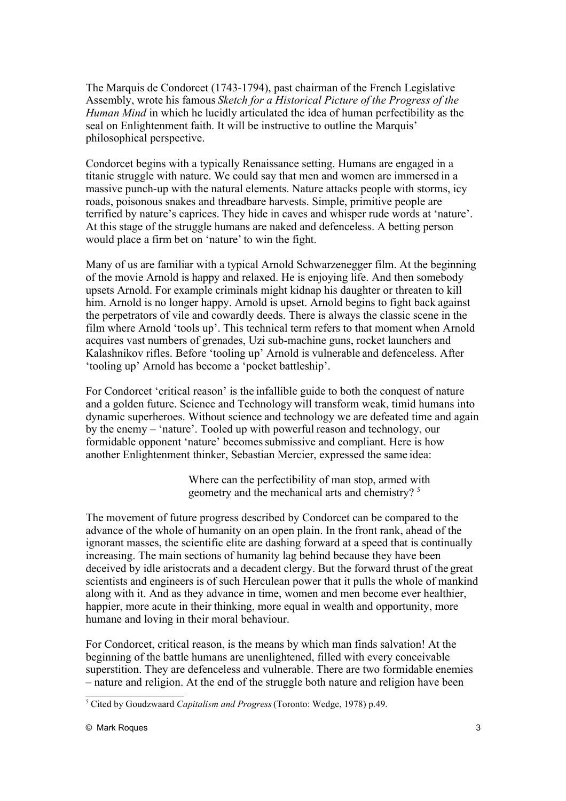The Marquis de Condorcet (1743-1794), past chairman of the French Legislative Assembly, wrote his famous *Sketch for a Historical Picture of the Progress of the Human Mind* in which he lucidly articulated the idea of human perfectibility as the seal on Enlightenment faith. It will be instructive to outline the Marquis' philosophical perspective.

Condorcet begins with a typically Renaissance setting. Humans are engaged in a titanic struggle with nature. We could say that men and women are immersed in a massive punch-up with the natural elements. Nature attacks people with storms, icy roads, poisonous snakes and threadbare harvests. Simple, primitive people are terrified by nature's caprices. They hide in caves and whisper rude words at 'nature'. At this stage of the struggle humans are naked and defenceless. A betting person would place a firm bet on 'nature' to win the fight.

Many of us are familiar with a typical Arnold Schwarzenegger film. At the beginning of the movie Arnold is happy and relaxed. He is enjoying life. And then somebody upsets Arnold. For example criminals might kidnap his daughter or threaten to kill him. Arnold is no longer happy. Arnold is upset. Arnold begins to fight back against the perpetrators of vile and cowardly deeds. There is always the classic scene in the film where Arnold 'tools up'. This technical term refers to that moment when Arnold acquires vast numbers of grenades, Uzi sub-machine guns, rocket launchers and Kalashnikov rifles. Before 'tooling up' Arnold is vulnerable and defenceless. After 'tooling up' Arnold has become a 'pocket battleship'.

For Condorcet 'critical reason' is the infallible guide to both the conquest of nature and a golden future. Science and Technology will transform weak, timid humans into dynamic superheroes. Without science and technology we are defeated time and again by the enemy – 'nature'. Tooled up with powerful reason and technology, our formidable opponent 'nature' becomes submissive and compliant. Here is how another Enlightenment thinker, Sebastian Mercier, expressed the same idea:

> Where can the perfectibility of man stop, armed with geometry and the mechanical arts and chemistry?<sup>[5](#page-2-0)</sup>

The movement of future progress described by Condorcet can be compared to the advance of the whole of humanity on an open plain. In the front rank, ahead of the ignorant masses, the scientific elite are dashing forward at a speed that is continually increasing. The main sections of humanity lag behind because they have been deceived by idle aristocrats and a decadent clergy. But the forward thrust of the great scientists and engineers is of such Herculean power that it pulls the whole of mankind along with it. And as they advance in time, women and men become ever healthier, happier, more acute in their thinking, more equal in wealth and opportunity, more humane and loving in their moral behaviour.

For Condorcet, critical reason, is the means by which man finds salvation! At the beginning of the battle humans are unenlightened, filled with every conceivable superstition. They are defenceless and vulnerable. There are two formidable enemies – nature and religion. At the end of the struggle both nature and religion have been

<span id="page-2-0"></span><sup>5</sup> Cited by Goudzwaard *Capitalism and Progress* (Toronto: Wedge, 1978) p.49.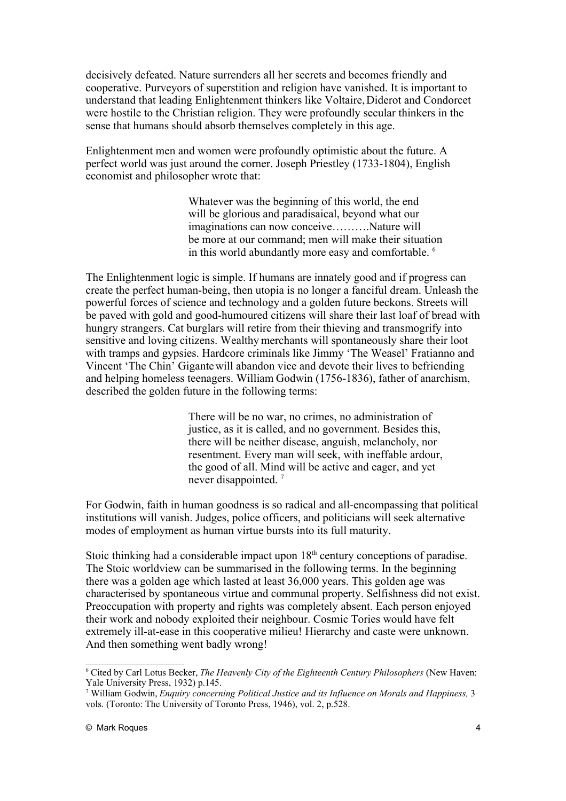decisively defeated. Nature surrenders all her secrets and becomes friendly and cooperative. Purveyors of superstition and religion have vanished. It is important to understand that leading Enlightenment thinkers like Voltaire, Diderot and Condorcet were hostile to the Christian religion. They were profoundly secular thinkers in the sense that humans should absorb themselves completely in this age.

Enlightenment men and women were profoundly optimistic about the future. A perfect world was just around the corner. Joseph Priestley (1733-1804), English economist and philosopher wrote that:

> Whatever was the beginning of this world, the end will be glorious and paradisaical, beyond what our imaginations can now conceive……….Nature will be more at our command; men will make their situation in this world abundantly more easy and comfortable. [6](#page-3-0)

The Enlightenment logic is simple. If humans are innately good and if progress can create the perfect human-being, then utopia is no longer a fanciful dream. Unleash the powerful forces of science and technology and a golden future beckons. Streets will be paved with gold and good-humoured citizens will share their last loaf of bread with hungry strangers. Cat burglars will retire from their thieving and transmogrify into sensitive and loving citizens. Wealthy merchants will spontaneously share their loot with tramps and gypsies. Hardcore criminals like Jimmy 'The Weasel' Fratianno and Vincent 'The Chin' Gigante will abandon vice and devote their lives to befriending and helping homeless teenagers. William Godwin (1756-1836), father of anarchism, described the golden future in the following terms:

> There will be no war, no crimes, no administration of justice, as it is called, and no government. Besides this, there will be neither disease, anguish, melancholy, nor resentment. Every man will seek, with ineffable ardour, the good of all. Mind will be active and eager, and yet never disappointed.<sup>[7](#page-3-1)</sup>

For Godwin, faith in human goodness is so radical and all-encompassing that political institutions will vanish. Judges, police officers, and politicians will seek alternative modes of employment as human virtue bursts into its full maturity.

Stoic thinking had a considerable impact upon  $18<sup>th</sup>$  century conceptions of paradise. The Stoic worldview can be summarised in the following terms. In the beginning there was a golden age which lasted at least 36,000 years. This golden age was characterised by spontaneous virtue and communal property. Selfishness did not exist. Preoccupation with property and rights was completely absent. Each person enjoyed their work and nobody exploited their neighbour. Cosmic Tories would have felt extremely ill-at-ease in this cooperative milieu! Hierarchy and caste were unknown. And then something went badly wrong!

<span id="page-3-0"></span><sup>6</sup> Cited by Carl Lotus Becker, *The Heavenly City of the Eighteenth Century Philosophers* (New Haven: Yale University Press, 1932) p.145.

<span id="page-3-1"></span><sup>&</sup>lt;sup>7</sup> William Godwin, *Enquiry concerning Political Justice and its Influence on Morals and Happiness, 3* vols. (Toronto: The University of Toronto Press, 1946), vol. 2, p.528.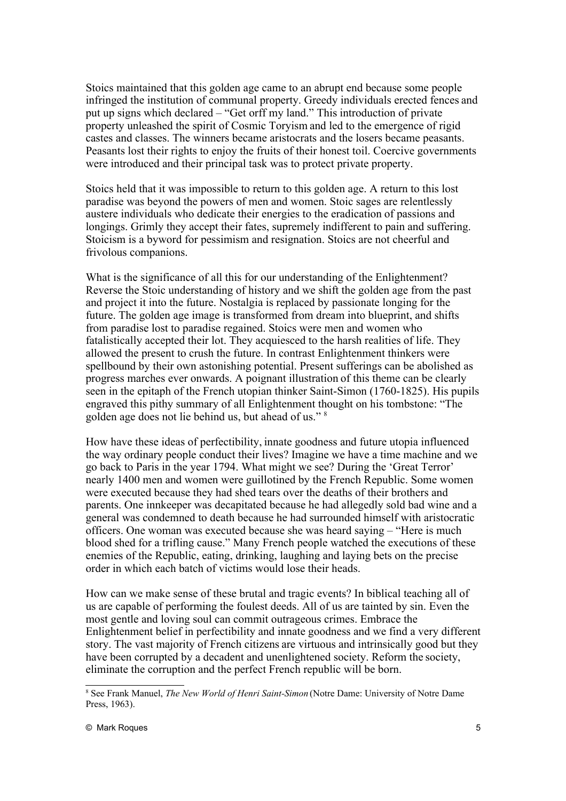Stoics maintained that this golden age came to an abrupt end because some people infringed the institution of communal property. Greedy individuals erected fences and put up signs which declared – "Get orff my land." This introduction of private property unleashed the spirit of Cosmic Toryism and led to the emergence of rigid castes and classes. The winners became aristocrats and the losers became peasants. Peasants lost their rights to enjoy the fruits of their honest toil. Coercive governments were introduced and their principal task was to protect private property.

Stoics held that it was impossible to return to this golden age. A return to this lost paradise was beyond the powers of men and women. Stoic sages are relentlessly austere individuals who dedicate their energies to the eradication of passions and longings. Grimly they accept their fates, supremely indifferent to pain and suffering. Stoicism is a byword for pessimism and resignation. Stoics are not cheerful and frivolous companions.

What is the significance of all this for our understanding of the Enlightenment? Reverse the Stoic understanding of history and we shift the golden age from the past and project it into the future. Nostalgia is replaced by passionate longing for the future. The golden age image is transformed from dream into blueprint, and shifts from paradise lost to paradise regained. Stoics were men and women who fatalistically accepted their lot. They acquiesced to the harsh realities of life. They allowed the present to crush the future. In contrast Enlightenment thinkers were spellbound by their own astonishing potential. Present sufferings can be abolished as progress marches ever onwards. A poignant illustration of this theme can be clearly seen in the epitaph of the French utopian thinker Saint-Simon (1760-1825). His pupils engraved this pithy summary of all Enlightenment thought on his tombstone: "The golden age does not lie behind us, but ahead of us." [8](#page-4-0)

How have these ideas of perfectibility, innate goodness and future utopia influenced the way ordinary people conduct their lives? Imagine we have a time machine and we go back to Paris in the year 1794. What might we see? During the 'Great Terror' nearly 1400 men and women were guillotined by the French Republic. Some women were executed because they had shed tears over the deaths of their brothers and parents. One innkeeper was decapitated because he had allegedly sold bad wine and a general was condemned to death because he had surrounded himself with aristocratic officers. One woman was executed because she was heard saying – "Here is much blood shed for a trifling cause." Many French people watched the executions of these enemies of the Republic, eating, drinking, laughing and laying bets on the precise order in which each batch of victims would lose their heads.

How can we make sense of these brutal and tragic events? In biblical teaching all of us are capable of performing the foulest deeds. All of us are tainted by sin. Even the most gentle and loving soul can commit outrageous crimes. Embrace the Enlightenment belief in perfectibility and innate goodness and we find a very different story. The vast majority of French citizens are virtuous and intrinsically good but they have been corrupted by a decadent and unenlightened society. Reform the society, eliminate the corruption and the perfect French republic will be born.

<span id="page-4-0"></span><sup>8</sup> See Frank Manuel, *The New World of Henri Saint-Simon* (Notre Dame: University of Notre Dame Press, 1963).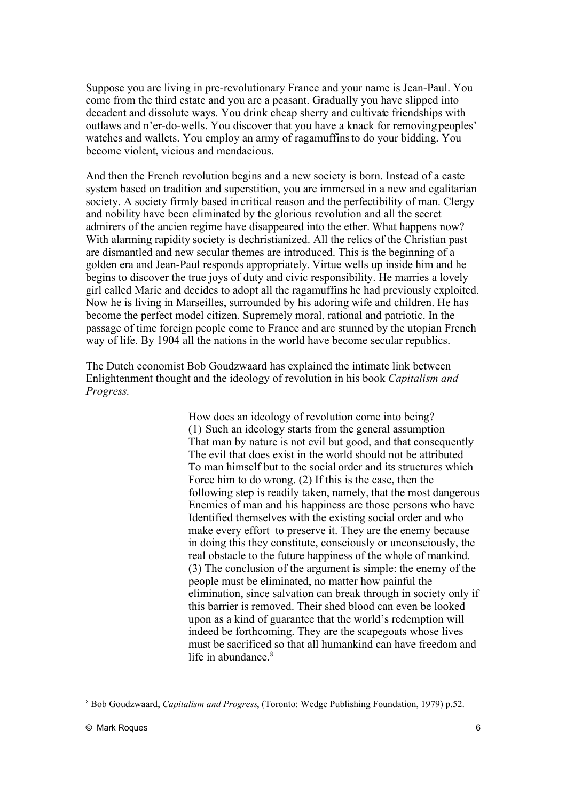Suppose you are living in pre-revolutionary France and your name is Jean-Paul. You come from the third estate and you are a peasant. Gradually you have slipped into decadent and dissolute ways. You drink cheap sherry and cultivate friendships with outlaws and n'er-do-wells. You discover that you have a knack for removing peoples' watches and wallets. You employ an army of ragamuffins to do your bidding. You become violent, vicious and mendacious.

And then the French revolution begins and a new society is born. Instead of a caste system based on tradition and superstition, you are immersed in a new and egalitarian society. A society firmly based in critical reason and the perfectibility of man. Clergy and nobility have been eliminated by the glorious revolution and all the secret admirers of the ancien regime have disappeared into the ether. What happens now? With alarming rapidity society is dechristianized. All the relics of the Christian past are dismantled and new secular themes are introduced. This is the beginning of a golden era and Jean-Paul responds appropriately. Virtue wells up inside him and he begins to discover the true joys of duty and civic responsibility. He marries a lovely girl called Marie and decides to adopt all the ragamuffins he had previously exploited. Now he is living in Marseilles, surrounded by his adoring wife and children. He has become the perfect model citizen. Supremely moral, rational and patriotic. In the passage of time foreign people come to France and are stunned by the utopian French way of life. By 1904 all the nations in the world have become secular republics.

The Dutch economist Bob Goudzwaard has explained the intimate link between Enlightenment thought and the ideology of revolution in his book *Capitalism and Progress.*

> How does an ideology of revolution come into being? (1) Such an ideology starts from the general assumption That man by nature is not evil but good, and that consequently The evil that does exist in the world should not be attributed To man himself but to the social order and its structures which Force him to do wrong. (2) If this is the case, then the following step is readily taken, namely, that the most dangerous Enemies of man and his happiness are those persons who have Identified themselves with the existing social order and who make every effort to preserve it. They are the enemy because in doing this they constitute, consciously or unconsciously, the real obstacle to the future happiness of the whole of mankind. (3) The conclusion of the argument is simple: the enemy of the people must be eliminated, no matter how painful the elimination, since salvation can break through in society only if this barrier is removed. Their shed blood can even be looked upon as a kind of guarantee that the world's redemption will indeed be forthcoming. They are the scapegoats whose lives must be sacrificed so that all humankind can have freedom and life in abundance. $8$

<span id="page-5-0"></span><sup>8</sup> Bob Goudzwaard, *Capitalism and Progress*, (Toronto: Wedge Publishing Foundation, 1979) p.52.